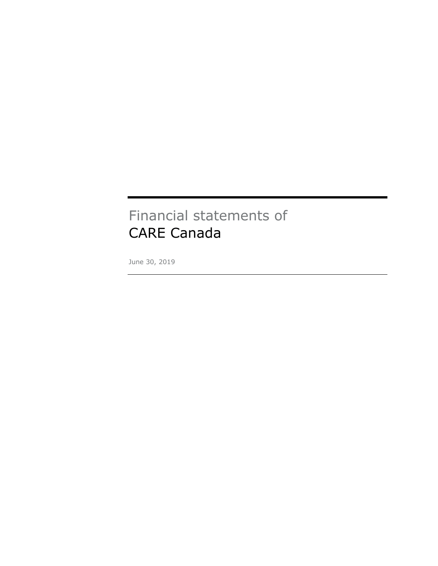# Financial statements of CARE Canada

June 30, 2019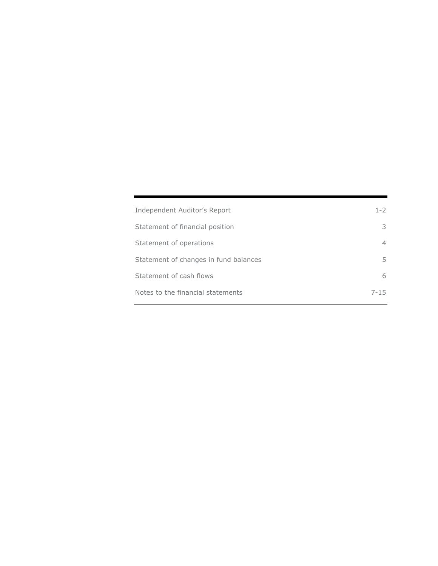| Independent Auditor's Report          | $1 - 2$ |
|---------------------------------------|---------|
| Statement of financial position       | 3       |
| Statement of operations               | 4       |
| Statement of changes in fund balances | 5.      |
| Statement of cash flows               | 6       |
| Notes to the financial statements     | 7-15    |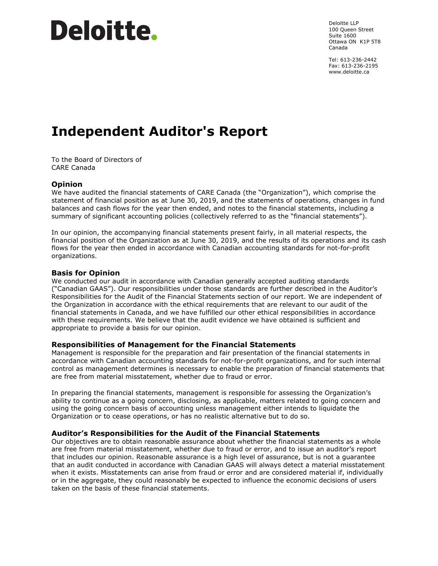# Deloitte.

Deloitte LLP 100 Queen Street Suite 1600 Ottawa ON K1P 5T8 Canada

Tel: 613-236-2442 Fax: 613-236-2195 www.deloitte.ca

# **Independent Auditor's Report**

To the Board of Directors of CARE Canada

# **Opinion**

We have audited the financial statements of CARE Canada (the "Organization"), which comprise the statement of financial position as at June 30, 2019, and the statements of operations, changes in fund balances and cash flows for the year then ended, and notes to the financial statements, including a summary of significant accounting policies (collectively referred to as the "financial statements").

In our opinion, the accompanying financial statements present fairly, in all material respects, the financial position of the Organization as at June 30, 2019, and the results of its operations and its cash flows for the year then ended in accordance with Canadian accounting standards for not-for-profit organizations.

# **Basis for Opinion**

We conducted our audit in accordance with Canadian generally accepted auditing standards ("Canadian GAAS"). Our responsibilities under those standards are further described in the Auditor's Responsibilities for the Audit of the Financial Statements section of our report. We are independent of the Organization in accordance with the ethical requirements that are relevant to our audit of the financial statements in Canada, and we have fulfilled our other ethical responsibilities in accordance with these requirements. We believe that the audit evidence we have obtained is sufficient and appropriate to provide a basis for our opinion.

#### **Responsibilities of Management for the Financial Statements**

Management is responsible for the preparation and fair presentation of the financial statements in accordance with Canadian accounting standards for not-for-profit organizations, and for such internal control as management determines is necessary to enable the preparation of financial statements that are free from material misstatement, whether due to fraud or error.

In preparing the financial statements, management is responsible for assessing the Organization's ability to continue as a going concern, disclosing, as applicable, matters related to going concern and using the going concern basis of accounting unless management either intends to liquidate the Organization or to cease operations, or has no realistic alternative but to do so.

# **Auditor's Responsibilities for the Audit of the Financial Statements**

Our objectives are to obtain reasonable assurance about whether the financial statements as a whole are free from material misstatement, whether due to fraud or error, and to issue an auditor's report that includes our opinion. Reasonable assurance is a high level of assurance, but is not a guarantee that an audit conducted in accordance with Canadian GAAS will always detect a material misstatement when it exists. Misstatements can arise from fraud or error and are considered material if, individually or in the aggregate, they could reasonably be expected to influence the economic decisions of users taken on the basis of these financial statements.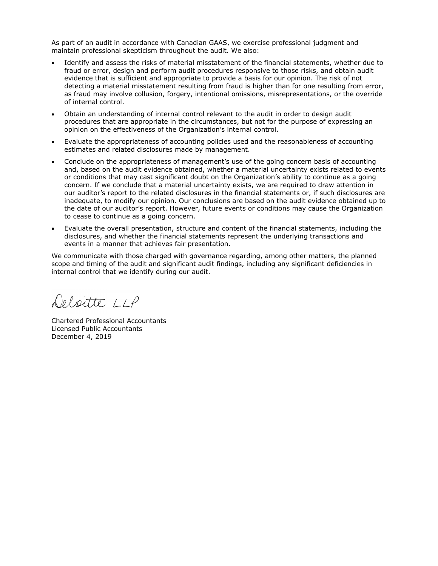As part of an audit in accordance with Canadian GAAS, we exercise professional judgment and maintain professional skepticism throughout the audit. We also:

- Identify and assess the risks of material misstatement of the financial statements, whether due to fraud or error, design and perform audit procedures responsive to those risks, and obtain audit evidence that is sufficient and appropriate to provide a basis for our opinion. The risk of not detecting a material misstatement resulting from fraud is higher than for one resulting from error, as fraud may involve collusion, forgery, intentional omissions, misrepresentations, or the override of internal control.
- Obtain an understanding of internal control relevant to the audit in order to design audit procedures that are appropriate in the circumstances, but not for the purpose of expressing an opinion on the effectiveness of the Organization's internal control.
- Evaluate the appropriateness of accounting policies used and the reasonableness of accounting estimates and related disclosures made by management.
- Conclude on the appropriateness of management's use of the going concern basis of accounting and, based on the audit evidence obtained, whether a material uncertainty exists related to events or conditions that may cast significant doubt on the Organization's ability to continue as a going concern. If we conclude that a material uncertainty exists, we are required to draw attention in our auditor's report to the related disclosures in the financial statements or, if such disclosures are inadequate, to modify our opinion. Our conclusions are based on the audit evidence obtained up to the date of our auditor's report. However, future events or conditions may cause the Organization to cease to continue as a going concern.
- Evaluate the overall presentation, structure and content of the financial statements, including the disclosures, and whether the financial statements represent the underlying transactions and events in a manner that achieves fair presentation.

We communicate with those charged with governance regarding, among other matters, the planned scope and timing of the audit and significant audit findings, including any significant deficiencies in internal control that we identify during our audit.

Deloitte LLP

Chartered Professional Accountants Licensed Public Accountants December 4, 2019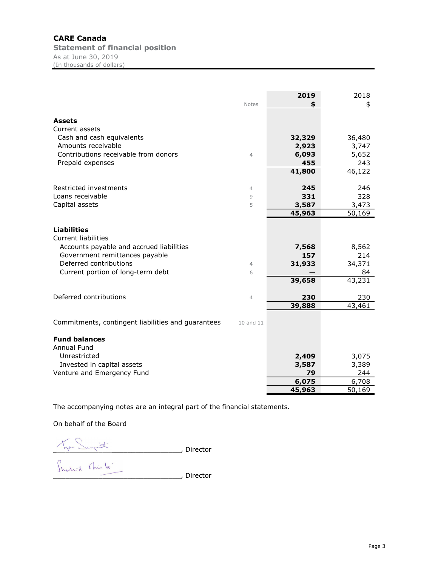**Statement of financial position** As at June 30, 2019 (In thousands of dollars)

|                                                          | <b>Notes</b>   | 2019<br>\$   | 2018<br>\$           |
|----------------------------------------------------------|----------------|--------------|----------------------|
| <b>Assets</b>                                            |                |              |                      |
| Current assets                                           |                |              |                      |
| Cash and cash equivalents                                |                | 32,329       | 36,480               |
| Amounts receivable                                       |                | 2,923        | 3,747                |
| Contributions receivable from donors                     | $\overline{4}$ | 6,093        | 5,652                |
| Prepaid expenses                                         |                | 455          | 243                  |
|                                                          |                | 41,800       | 46,122               |
| Restricted investments                                   | $\overline{4}$ | 245          | 246                  |
| Loans receivable                                         | 9              | 331          | 328                  |
| Capital assets                                           | 5              | 3,587        | 3,473                |
|                                                          |                | 45,963       | $\overline{50, 169}$ |
|                                                          |                |              |                      |
| <b>Liabilities</b>                                       |                |              |                      |
| <b>Current liabilities</b>                               |                |              |                      |
| Accounts payable and accrued liabilities                 |                | 7,568<br>157 | 8,562<br>214         |
| Government remittances payable<br>Deferred contributions |                |              |                      |
| Current portion of long-term debt                        | 4<br>6         | 31,933       | 34,371               |
|                                                          |                | 39,658       | 84<br>43,231         |
|                                                          |                |              |                      |
| Deferred contributions                                   | $\overline{4}$ | 230          | 230                  |
|                                                          |                | 39,888       | 43,461               |
| Commitments, contingent liabilities and guarantees       | 10 and 11      |              |                      |
|                                                          |                |              |                      |
| <b>Fund balances</b>                                     |                |              |                      |
| Annual Fund                                              |                |              |                      |
| Unrestricted                                             |                | 2,409        | 3,075                |
| Invested in capital assets                               |                | 3,587        | 3,389                |
| Venture and Emergency Fund                               |                | 79           | 244                  |
|                                                          |                | 6,075        | 6,708                |
|                                                          |                | 45,963       | 50,169               |

The accompanying notes are an integral part of the financial statements.

# On behalf of the Board

\_\_\_\_\_\_\_\_\_\_\_\_\_\_\_\_\_\_\_\_\_\_\_\_\_\_\_\_\_\_\_, Director

\_\_\_\_\_\_\_\_\_\_\_\_\_\_\_\_\_\_\_\_\_\_\_\_\_\_\_\_\_\_\_, Director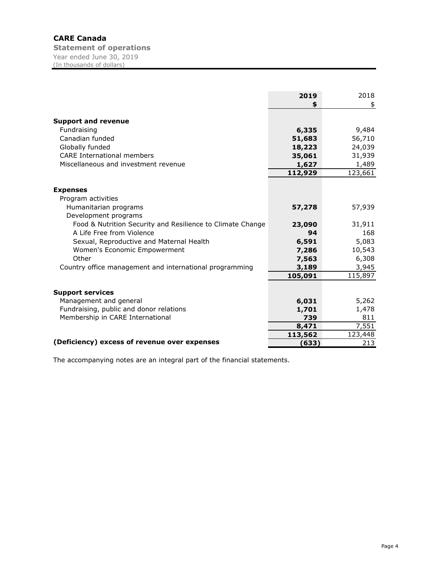**Statement of operations** Year ended June 30, 2019 (In thousands of dollars)

|                                                            | 2019    | 2018    |
|------------------------------------------------------------|---------|---------|
|                                                            | \$      | \$      |
|                                                            |         |         |
| <b>Support and revenue</b>                                 |         |         |
| Fundraising                                                | 6,335   | 9,484   |
| Canadian funded                                            | 51,683  | 56,710  |
| Globally funded                                            | 18,223  | 24,039  |
| <b>CARE International members</b>                          | 35,061  | 31,939  |
| Miscellaneous and investment revenue                       | 1,627   | 1,489   |
|                                                            | 112,929 | 123,661 |
|                                                            |         |         |
| <b>Expenses</b>                                            |         |         |
| Program activities                                         |         |         |
| Humanitarian programs                                      | 57,278  | 57,939  |
| Development programs                                       |         |         |
| Food & Nutrition Security and Resilience to Climate Change | 23,090  | 31,911  |
| A Life Free from Violence                                  | 94      | 168     |
| Sexual, Reproductive and Maternal Health                   | 6,591   | 5,083   |
| Women's Economic Empowerment                               | 7,286   | 10,543  |
| Other                                                      | 7,563   | 6,308   |
| Country office management and international programming    | 3,189   | 3,945   |
|                                                            | 105,091 | 115,897 |
|                                                            |         |         |
| <b>Support services</b>                                    |         |         |
| Management and general                                     | 6,031   | 5,262   |
| Fundraising, public and donor relations                    | 1,701   | 1,478   |
| Membership in CARE International                           | 739     | 811     |
|                                                            | 8,471   | 7,551   |
|                                                            | 113,562 | 123,448 |
| (Deficiency) excess of revenue over expenses               | (633)   | 213     |

The accompanying notes are an integral part of the financial statements.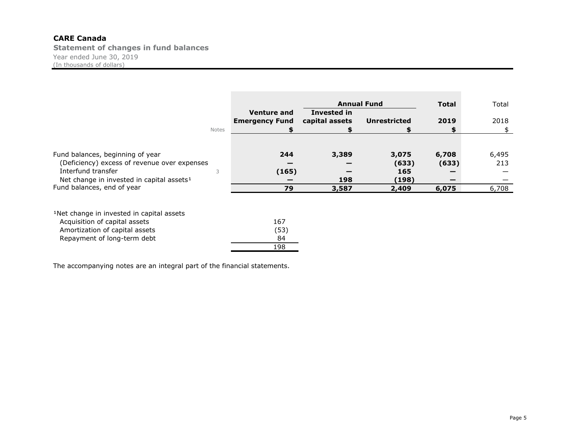**Statement of changes in fund balances** Year ended June 30, 2019 (In thousands of dollars)

|                                                       |   | <b>Annual Fund</b>                          |                               | <b>Total</b>        | Total |       |
|-------------------------------------------------------|---|---------------------------------------------|-------------------------------|---------------------|-------|-------|
| Notes                                                 |   | <b>Venture and</b><br><b>Emergency Fund</b> | Invested in<br>capital assets | <b>Unrestricted</b> | 2019  | 2018  |
|                                                       |   |                                             |                               |                     |       |       |
| Fund balances, beginning of year                      |   | 244                                         | 3,389                         | 3,075               | 6,708 | 6,495 |
| (Deficiency) excess of revenue over expenses          |   |                                             |                               | (633)               | (633) | 213   |
| Interfund transfer                                    | 3 | (165)                                       |                               | 165                 |       |       |
| Net change in invested in capital assets <sup>1</sup> |   |                                             | 198                           | (198)               |       |       |
| Fund balances, end of year                            |   | 79                                          | 3,587                         | 2,409               | 6,075 | 6,708 |
|                                                       |   |                                             |                               |                     |       |       |
| <sup>1</sup> Net change in invested in capital assets |   |                                             |                               |                     |       |       |
| Acquisition of capital assets                         |   | 167                                         |                               |                     |       |       |
| Amortization of capital assets                        |   | (53)                                        |                               |                     |       |       |
| Repayment of long-term debt                           |   | 84                                          |                               |                     |       |       |
|                                                       |   | 198                                         |                               |                     |       |       |
|                                                       |   |                                             |                               |                     |       |       |

The accompanying notes are an integral part of the financial statements.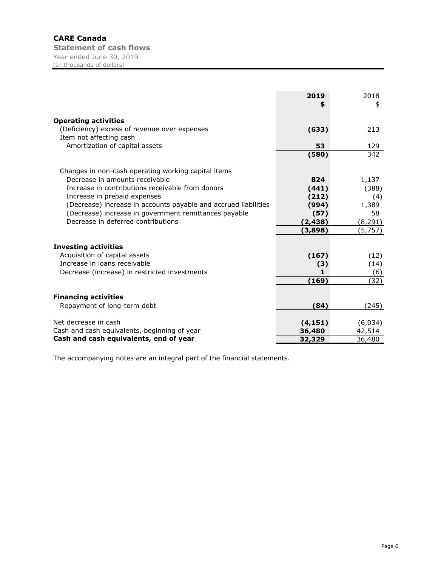**Statement of cash flows** Year ended June 30, 2019 (In thousands of dollars)

|                                                                         | 2019<br>\$ | 2018<br>\$. |
|-------------------------------------------------------------------------|------------|-------------|
| <b>Operating activities</b>                                             |            |             |
| (Deficiency) excess of revenue over expenses<br>Item not affecting cash | (633)      | 213         |
| Amortization of capital assets                                          | 53         | 129         |
|                                                                         | (580)      | 342         |
| Changes in non-cash operating working capital items                     |            |             |
| Decrease in amounts receivable                                          | 824        | 1,137       |
| Increase in contributions receivable from donors                        | (441)      | (388)       |
| Increase in prepaid expenses                                            | (212)      | (4)         |
| (Decrease) increase in accounts payable and accrued liabilities         | (994)      | 1,389       |
| (Decrease) increase in government remittances payable                   | (57)       | 58          |
| Decrease in deferred contributions                                      | (2,438)    | (8, 291)    |
|                                                                         | (3,898)    | (5,757)     |
| <b>Investing activities</b>                                             |            |             |
| Acquisition of capital assets                                           | (167)      | (12)        |
| Increase in loans receivable                                            | (3)        | (14)        |
| Decrease (increase) in restricted investments                           | 1          | (6)         |
|                                                                         | (169)      | (32)        |
| <b>Financing activities</b>                                             |            |             |
| Repayment of long-term debt                                             | (84)       | (245)       |
| Net decrease in cash                                                    | (4, 151)   | (6,034)     |
| Cash and cash equivalents, beginning of year                            | 36,480     | 42,514      |
| Cash and cash equivalents, end of year                                  | 32,329     | 36,480      |

The accompanying notes are an integral part of the financial statements.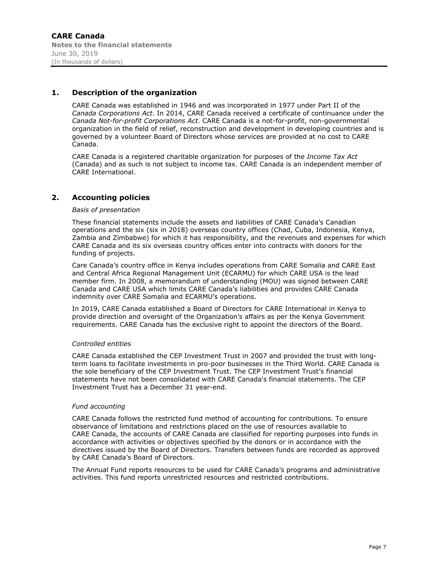# **1. Description of the organization**

CARE Canada was established in 1946 and was incorporated in 1977 under Part II of the *Canada Corporations Act*. In 2014, CARE Canada received a certificate of continuance under the *Canada Not-for-profit Corporations Act*. CARE Canada is a not-for-profit, non-governmental organization in the field of relief, reconstruction and development in developing countries and is governed by a volunteer Board of Directors whose services are provided at no cost to CARE Canada.

CARE Canada is a registered charitable organization for purposes of the *Income Tax Act* (Canada) and as such is not subject to income tax. CARE Canada is an independent member of CARE International.

# **2. Accounting policies**

#### *Basis of presentation*

These financial statements include the assets and liabilities of CARE Canada's Canadian operations and the six (six in 2018) overseas country offices (Chad, Cuba, Indonesia, Kenya, Zambia and Zimbabwe) for which it has responsibility, and the revenues and expenses for which CARE Canada and its six overseas country offices enter into contracts with donors for the funding of projects.

Care Canada's country office in Kenya includes operations from CARE Somalia and CARE East and Central Africa Regional Management Unit (ECARMU) for which CARE USA is the lead member firm. In 2008, a memorandum of understanding (MOU) was signed between CARE Canada and CARE USA which limits CARE Canada's liabilities and provides CARE Canada indemnity over CARE Somalia and ECARMU's operations.

In 2019, CARE Canada established a Board of Directors for CARE International in Kenya to provide direction and oversight of the Organization's affairs as per the Kenya Government requirements. CARE Canada has the exclusive right to appoint the directors of the Board.

#### *Controlled entities*

CARE Canada established the CEP Investment Trust in 2007 and provided the trust with longterm loans to facilitate investments in pro-poor businesses in the Third World. CARE Canada is the sole beneficiary of the CEP Investment Trust. The CEP Investment Trust's financial statements have not been consolidated with CARE Canada's financial statements. The CEP Investment Trust has a December 31 year-end.

#### *Fund accounting*

CARE Canada follows the restricted fund method of accounting for contributions. To ensure observance of limitations and restrictions placed on the use of resources available to CARE Canada, the accounts of CARE Canada are classified for reporting purposes into funds in accordance with activities or objectives specified by the donors or in accordance with the directives issued by the Board of Directors. Transfers between funds are recorded as approved by CARE Canada's Board of Directors.

The Annual Fund reports resources to be used for CARE Canada's programs and administrative activities. This fund reports unrestricted resources and restricted contributions.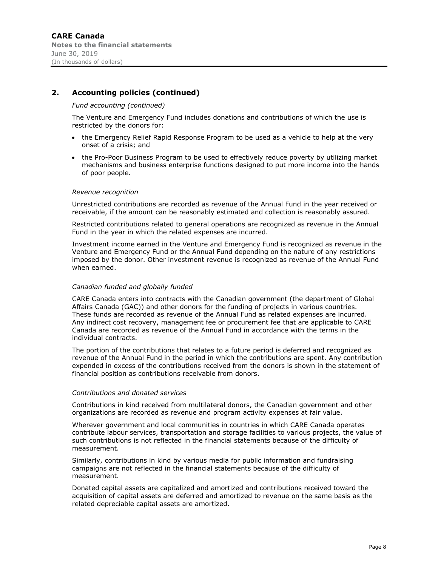# **2. Accounting policies (continued)**

#### *Fund accounting (continued)*

The Venture and Emergency Fund includes donations and contributions of which the use is restricted by the donors for:

- the Emergency Relief Rapid Response Program to be used as a vehicle to help at the very onset of a crisis; and
- the Pro-Poor Business Program to be used to effectively reduce poverty by utilizing market mechanisms and business enterprise functions designed to put more income into the hands of poor people.

#### *Revenue recognition*

Unrestricted contributions are recorded as revenue of the Annual Fund in the year received or receivable, if the amount can be reasonably estimated and collection is reasonably assured.

Restricted contributions related to general operations are recognized as revenue in the Annual Fund in the year in which the related expenses are incurred.

Investment income earned in the Venture and Emergency Fund is recognized as revenue in the Venture and Emergency Fund or the Annual Fund depending on the nature of any restrictions imposed by the donor. Other investment revenue is recognized as revenue of the Annual Fund when earned.

#### *Canadian funded and globally funded*

CARE Canada enters into contracts with the Canadian government (the department of Global Affairs Canada (GAC)) and other donors for the funding of projects in various countries. These funds are recorded as revenue of the Annual Fund as related expenses are incurred. Any indirect cost recovery, management fee or procurement fee that are applicable to CARE Canada are recorded as revenue of the Annual Fund in accordance with the terms in the individual contracts.

The portion of the contributions that relates to a future period is deferred and recognized as revenue of the Annual Fund in the period in which the contributions are spent. Any contribution expended in excess of the contributions received from the donors is shown in the statement of financial position as contributions receivable from donors.

#### *Contributions and donated services*

Contributions in kind received from multilateral donors, the Canadian government and other organizations are recorded as revenue and program activity expenses at fair value.

Wherever government and local communities in countries in which CARE Canada operates contribute labour services, transportation and storage facilities to various projects, the value of such contributions is not reflected in the financial statements because of the difficulty of measurement.

Similarly, contributions in kind by various media for public information and fundraising campaigns are not reflected in the financial statements because of the difficulty of measurement.

Donated capital assets are capitalized and amortized and contributions received toward the acquisition of capital assets are deferred and amortized to revenue on the same basis as the related depreciable capital assets are amortized.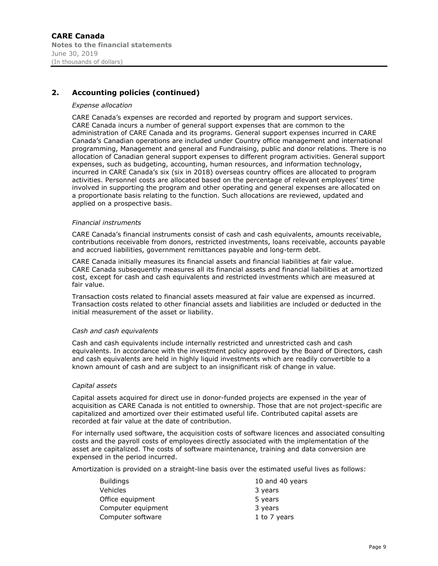# **2. Accounting policies (continued)**

#### *Expense allocation*

CARE Canada's expenses are recorded and reported by program and support services. CARE Canada incurs a number of general support expenses that are common to the administration of CARE Canada and its programs. General support expenses incurred in CARE Canada's Canadian operations are included under Country office management and international programming, Management and general and Fundraising, public and donor relations. There is no allocation of Canadian general support expenses to different program activities. General support expenses, such as budgeting, accounting, human resources, and information technology, incurred in CARE Canada's six (six in 2018) overseas country offices are allocated to program activities. Personnel costs are allocated based on the percentage of relevant employees' time involved in supporting the program and other operating and general expenses are allocated on a proportionate basis relating to the function. Such allocations are reviewed, updated and applied on a prospective basis.

#### *Financial instruments*

CARE Canada's financial instruments consist of cash and cash equivalents, amounts receivable, contributions receivable from donors, restricted investments, loans receivable, accounts payable and accrued liabilities, government remittances payable and long-term debt.

CARE Canada initially measures its financial assets and financial liabilities at fair value. CARE Canada subsequently measures all its financial assets and financial liabilities at amortized cost, except for cash and cash equivalents and restricted investments which are measured at fair value.

Transaction costs related to financial assets measured at fair value are expensed as incurred. Transaction costs related to other financial assets and liabilities are included or deducted in the initial measurement of the asset or liability.

#### *Cash and cash equivalents*

Cash and cash equivalents include internally restricted and unrestricted cash and cash equivalents. In accordance with the investment policy approved by the Board of Directors, cash and cash equivalents are held in highly liquid investments which are readily convertible to a known amount of cash and are subject to an insignificant risk of change in value.

#### *Capital assets*

Capital assets acquired for direct use in donor-funded projects are expensed in the year of acquisition as CARE Canada is not entitled to ownership. Those that are not project-specific are capitalized and amortized over their estimated useful life. Contributed capital assets are recorded at fair value at the date of contribution.

For internally used software, the acquisition costs of software licences and associated consulting costs and the payroll costs of employees directly associated with the implementation of the asset are capitalized. The costs of software maintenance, training and data conversion are expensed in the period incurred.

Amortization is provided on a straight-line basis over the estimated useful lives as follows:

| <b>Buildings</b>   | 10 and 40 years |
|--------------------|-----------------|
| Vehicles           | 3 years         |
| Office equipment   | 5 years         |
| Computer equipment | 3 years         |
| Computer software  | 1 to 7 years    |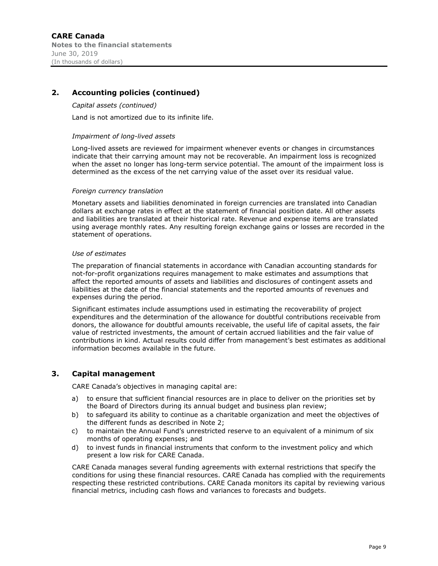# **2. Accounting policies (continued)**

#### *Capital assets (continued)*

Land is not amortized due to its infinite life.

#### *Impairment of long-lived assets*

Long-lived assets are reviewed for impairment whenever events or changes in circumstances indicate that their carrying amount may not be recoverable. An impairment loss is recognized when the asset no longer has long-term service potential. The amount of the impairment loss is determined as the excess of the net carrying value of the asset over its residual value.

#### *Foreign currency translation*

Monetary assets and liabilities denominated in foreign currencies are translated into Canadian dollars at exchange rates in effect at the statement of financial position date. All other assets and liabilities are translated at their historical rate. Revenue and expense items are translated using average monthly rates. Any resulting foreign exchange gains or losses are recorded in the statement of operations.

#### *Use of estimates*

The preparation of financial statements in accordance with Canadian accounting standards for not-for-profit organizations requires management to make estimates and assumptions that affect the reported amounts of assets and liabilities and disclosures of contingent assets and liabilities at the date of the financial statements and the reported amounts of revenues and expenses during the period.

Significant estimates include assumptions used in estimating the recoverability of project expenditures and the determination of the allowance for doubtful contributions receivable from donors, the allowance for doubtful amounts receivable, the useful life of capital assets, the fair value of restricted investments, the amount of certain accrued liabilities and the fair value of contributions in kind. Actual results could differ from management's best estimates as additional information becomes available in the future.

# **3. Capital management**

CARE Canada's objectives in managing capital are:

- a) to ensure that sufficient financial resources are in place to deliver on the priorities set by the Board of Directors during its annual budget and business plan review;
- b) to safeguard its ability to continue as a charitable organization and meet the objectives of the different funds as described in Note 2;
- c) to maintain the Annual Fund's unrestricted reserve to an equivalent of a minimum of six months of operating expenses; and
- d) to invest funds in financial instruments that conform to the investment policy and which present a low risk for CARE Canada.

CARE Canada manages several funding agreements with external restrictions that specify the conditions for using these financial resources. CARE Canada has complied with the requirements respecting these restricted contributions. CARE Canada monitors its capital by reviewing various financial metrics, including cash flows and variances to forecasts and budgets.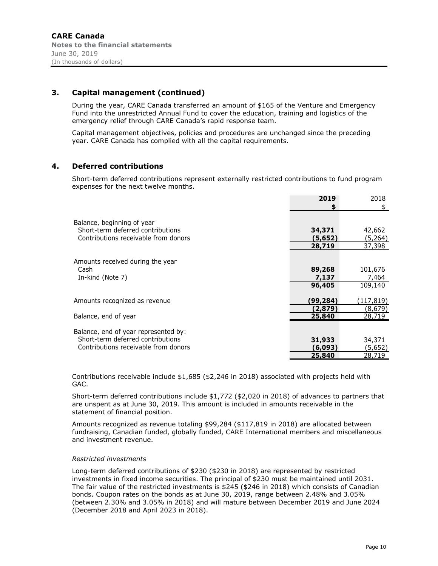# **3. Capital management (continued)**

During the year, CARE Canada transferred an amount of \$165 of the Venture and Emergency Fund into the unrestricted Annual Fund to cover the education, training and logistics of the emergency relief through CARE Canada's rapid response team.

Capital management objectives, policies and procedures are unchanged since the preceding year. CARE Canada has complied with all the capital requirements.

# **4. Deferred contributions**

Short-term deferred contributions represent externally restricted contributions to fund program expenses for the next twelve months.

|                                                                           | 2019              | 2018              |
|---------------------------------------------------------------------------|-------------------|-------------------|
| Balance, beginning of year                                                |                   |                   |
| Short-term deferred contributions<br>Contributions receivable from donors | 34,371<br>(5,652) | 42,662<br>(5,264) |
|                                                                           | 28,719            | 37,398            |
| Amounts received during the year                                          |                   |                   |
| Cash                                                                      | 89,268            | 101,676           |
| In-kind (Note 7)                                                          | 7,137             | 7,464             |
|                                                                           | 96,405            | 109,140           |
| Amounts recognized as revenue                                             | (99,284)          | (117, 819)        |
|                                                                           | (2,879)           | (8,679)           |
| Balance, end of year                                                      | 25,840            | 28,719            |
| Balance, end of year represented by:                                      |                   |                   |
| Short-term deferred contributions                                         | 31,933            | 34,371            |
| Contributions receivable from donors                                      | (6,093)           | (5,652)           |
|                                                                           | 25,840            | 28,719            |

Contributions receivable include \$1,685 (\$2,246 in 2018) associated with projects held with GAC.

Short-term deferred contributions include \$1,772 (\$2,020 in 2018) of advances to partners that are unspent as at June 30, 2019. This amount is included in amounts receivable in the statement of financial position.

Amounts recognized as revenue totaling \$99,284 (\$117,819 in 2018) are allocated between fundraising, Canadian funded, globally funded, CARE International members and miscellaneous and investment revenue.

#### *Restricted investments*

Long-term deferred contributions of \$230 (\$230 in 2018) are represented by restricted investments in fixed income securities. The principal of \$230 must be maintained until 2031. The fair value of the restricted investments is \$245 (\$246 in 2018) which consists of Canadian bonds. Coupon rates on the bonds as at June 30, 2019, range between 2.48% and 3.05% (between 2.30% and 3.05% in 2018) and will mature between December 2019 and June 2024 (December 2018 and April 2023 in 2018).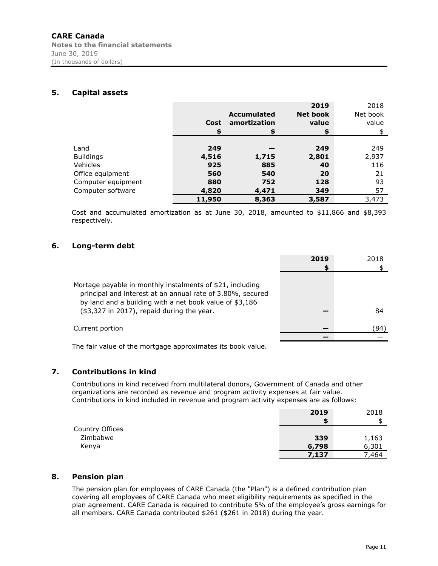# **5. Capital assets**

|                    |        |                    | 2019            | 2018     |
|--------------------|--------|--------------------|-----------------|----------|
|                    |        | <b>Accumulated</b> | <b>Net book</b> | Net book |
|                    | Cost   | amortization       | value           | value    |
|                    | \$     |                    | \$              | \$       |
|                    |        |                    |                 |          |
| Land               | 249    |                    | 249             | 249      |
| <b>Buildings</b>   | 4,516  | 1,715              | 2,801           | 2,937    |
| <b>Vehicles</b>    | 925    | 885                | 40              | 116      |
| Office equipment   | 560    | 540                | 20              | 21       |
| Computer equipment | 880    | 752                | 128             | 93       |
| Computer software  | 4,820  | 4,471              | 349             | 57       |
|                    | 11,950 | 8,363              | 3,587           | 3,473    |

Cost and accumulated amortization as at June 30, 2018, amounted to \$11,866 and \$8,393 respectively.

# **6. Long-term debt**

|                                                                                                                                                                                                                                    | 2019 | 2018 |
|------------------------------------------------------------------------------------------------------------------------------------------------------------------------------------------------------------------------------------|------|------|
|                                                                                                                                                                                                                                    |      |      |
| Mortage payable in monthly instalments of \$21, including<br>principal and interest at an annual rate of 3.80%, secured<br>by land and a building with a net book value of \$3,186<br>$($3,327$$ in 2017), repaid during the year. |      | 84   |
| Current portion                                                                                                                                                                                                                    |      | [84] |
|                                                                                                                                                                                                                                    |      |      |

The fair value of the mortgage approximates its book value.

# **7. Contributions in kind**

Contributions in kind received from multilateral donors, Government of Canada and other organizations are recorded as revenue and program activity expenses at fair value. Contributions in kind included in revenue and program activity expenses are as follows:

|                 | 2019  | 2018  |
|-----------------|-------|-------|
|                 |       | \$    |
| Country Offices |       |       |
| Zimbabwe        | 339   | 1,163 |
| Kenya           | 6,798 | 6,301 |
|                 | 7,137 | .464  |

# **8. Pension plan**

The pension plan for employees of CARE Canada (the "Plan") is a defined contribution plan covering all employees of CARE Canada who meet eligibility requirements as specified in the plan agreement. CARE Canada is required to contribute 5% of the employee's gross earnings for all members. CARE Canada contributed \$261 (\$261 in 2018) during the year.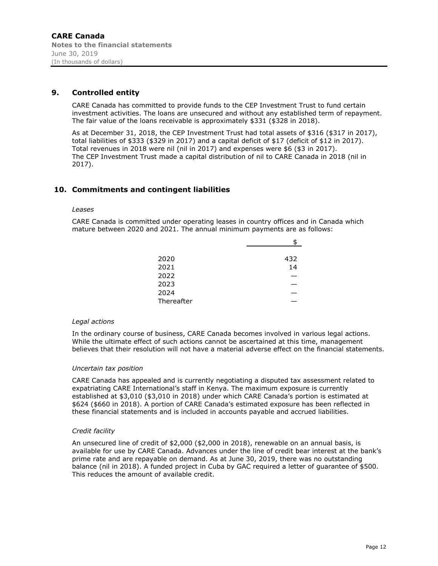# **9. Controlled entity**

CARE Canada has committed to provide funds to the CEP Investment Trust to fund certain investment activities. The loans are unsecured and without any established term of repayment. The fair value of the loans receivable is approximately \$331 (\$328 in 2018).

As at December 31, 2018, the CEP Investment Trust had total assets of \$316 (\$317 in 2017), total liabilities of \$333 (\$329 in 2017) and a capital deficit of \$17 (deficit of \$12 in 2017). Total revenues in 2018 were nil (nil in 2017) and expenses were \$6 (\$3 in 2017). The CEP Investment Trust made a capital distribution of nil to CARE Canada in 2018 (nil in 2017).

# **10. Commitments and contingent liabilities**

#### *Leases*

CARE Canada is committed under operating leases in country offices and in Canada which mature between 2020 and 2021. The annual minimum payments are as follows:

|            | ъ   |
|------------|-----|
| 2020       | 432 |
| 2021       | 14  |
| 2022       |     |
| 2023       |     |
| 2024       |     |
| Thereafter |     |

#### *Legal actions*

In the ordinary course of business, CARE Canada becomes involved in various legal actions. While the ultimate effect of such actions cannot be ascertained at this time, management believes that their resolution will not have a material adverse effect on the financial statements.

#### *Uncertain tax position*

CARE Canada has appealed and is currently negotiating a disputed tax assessment related to expatriating CARE International's staff in Kenya. The maximum exposure is currently established at \$3,010 (\$3,010 in 2018) under which CARE Canada's portion is estimated at \$624 (\$660 in 2018). A portion of CARE Canada's estimated exposure has been reflected in these financial statements and is included in accounts payable and accrued liabilities.

#### *Credit facility*

An unsecured line of credit of \$2,000 (\$2,000 in 2018), renewable on an annual basis, is available for use by CARE Canada. Advances under the line of credit bear interest at the bank's prime rate and are repayable on demand. As at June 30, 2019, there was no outstanding balance (nil in 2018). A funded project in Cuba by GAC required a letter of guarantee of \$500. This reduces the amount of available credit.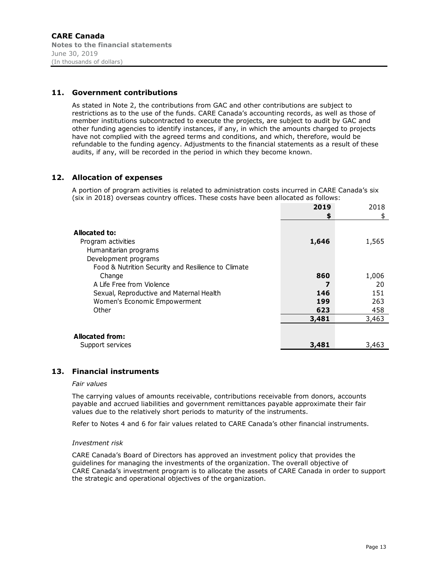# **11. Government contributions**

As stated in Note 2, the contributions from GAC and other contributions are subject to restrictions as to the use of the funds. CARE Canada's accounting records, as well as those of member institutions subcontracted to execute the projects, are subject to audit by GAC and other funding agencies to identify instances, if any, in which the amounts charged to projects have not complied with the agreed terms and conditions, and which, therefore, would be refundable to the funding agency. Adjustments to the financial statements as a result of these audits, if any, will be recorded in the period in which they become known.

# **12. Allocation of expenses**

A portion of program activities is related to administration costs incurred in CARE Canada's six (six in 2018) overseas country offices. These costs have been allocated as follows:

|                                                     | 2019<br>\$ | 2018<br>\$ |
|-----------------------------------------------------|------------|------------|
| Allocated to:                                       |            |            |
| Program activities                                  | 1,646      | 1,565      |
| Humanitarian programs                               |            |            |
| Development programs                                |            |            |
| Food & Nutrition Security and Resilience to Climate |            |            |
| Change                                              | 860        | 1,006      |
| A Life Free from Violence                           | 7          | 20         |
| Sexual, Reproductive and Maternal Health            | 146        | 151        |
| Women's Economic Empowerment                        | 199        | 263        |
| Other                                               | 623        | 458        |
|                                                     | 3,481      | 3,463      |
|                                                     |            |            |
| Allocated from:                                     |            |            |
| Support services                                    | 3,481      | 3,463      |

# **13. Financial instruments**

#### *Fair values*

The carrying values of amounts receivable, contributions receivable from donors, accounts payable and accrued liabilities and government remittances payable approximate their fair values due to the relatively short periods to maturity of the instruments.

Refer to Notes 4 and 6 for fair values related to CARE Canada's other financial instruments.

#### *Investment risk*

CARE Canada's Board of Directors has approved an investment policy that provides the guidelines for managing the investments of the organization. The overall objective of CARE Canada's investment program is to allocate the assets of CARE Canada in order to support the strategic and operational objectives of the organization.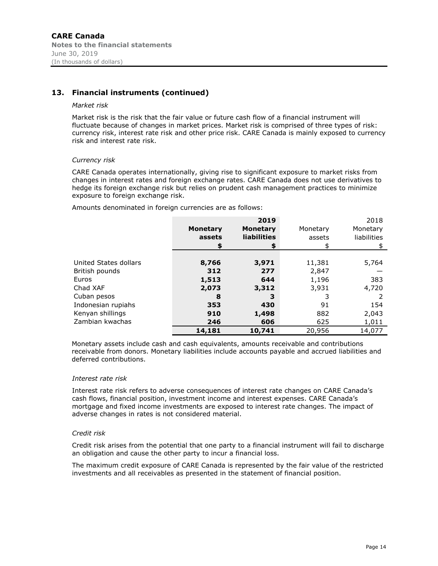# **13. Financial instruments (continued)**

#### *Market risk*

Market risk is the risk that the fair value or future cash flow of a financial instrument will fluctuate because of changes in market prices. Market risk is comprised of three types of risk: currency risk, interest rate risk and other price risk. CARE Canada is mainly exposed to currency risk and interest rate risk.

#### *Currency risk*

CARE Canada operates internationally, giving rise to significant exposure to market risks from changes in interest rates and foreign exchange rates. CARE Canada does not use derivatives to hedge its foreign exchange risk but relies on prudent cash management practices to minimize exposure to foreign exchange risk.

Amounts denominated in foreign currencies are as follows:

|                       |                 | 2019               |          | 2018               |
|-----------------------|-----------------|--------------------|----------|--------------------|
|                       | <b>Monetary</b> | <b>Monetary</b>    | Monetary | Monetary           |
|                       | assets          | <b>liabilities</b> | assets   | <b>liabilities</b> |
|                       | \$              | \$                 | \$       | \$                 |
|                       |                 |                    |          |                    |
| United States dollars | 8,766           | 3,971              | 11,381   | 5,764              |
| British pounds        | 312             | 277                | 2,847    |                    |
| <b>Euros</b>          | 1,513           | 644                | 1,196    | 383                |
| Chad XAF              | 2,073           | 3,312              | 3,931    | 4,720              |
| Cuban pesos           | 8               | З                  | 3        |                    |
| Indonesian rupiahs    | 353             | 430                | 91       | 154                |
| Kenyan shillings      | 910             | 1,498              | 882      | 2,043              |
| Zambian kwachas       | 246             | 606                | 625      | 1,011              |
|                       | 14,181          | 10,741             | 20,956   | 14,077             |

Monetary assets include cash and cash equivalents, amounts receivable and contributions receivable from donors. Monetary liabilities include accounts payable and accrued liabilities and deferred contributions.

#### *Interest rate risk*

Interest rate risk refers to adverse consequences of interest rate changes on CARE Canada's cash flows, financial position, investment income and interest expenses. CARE Canada's mortgage and fixed income investments are exposed to interest rate changes. The impact of adverse changes in rates is not considered material.

#### *Credit risk*

Credit risk arises from the potential that one party to a financial instrument will fail to discharge an obligation and cause the other party to incur a financial loss.

The maximum credit exposure of CARE Canada is represented by the fair value of the restricted investments and all receivables as presented in the statement of financial position.